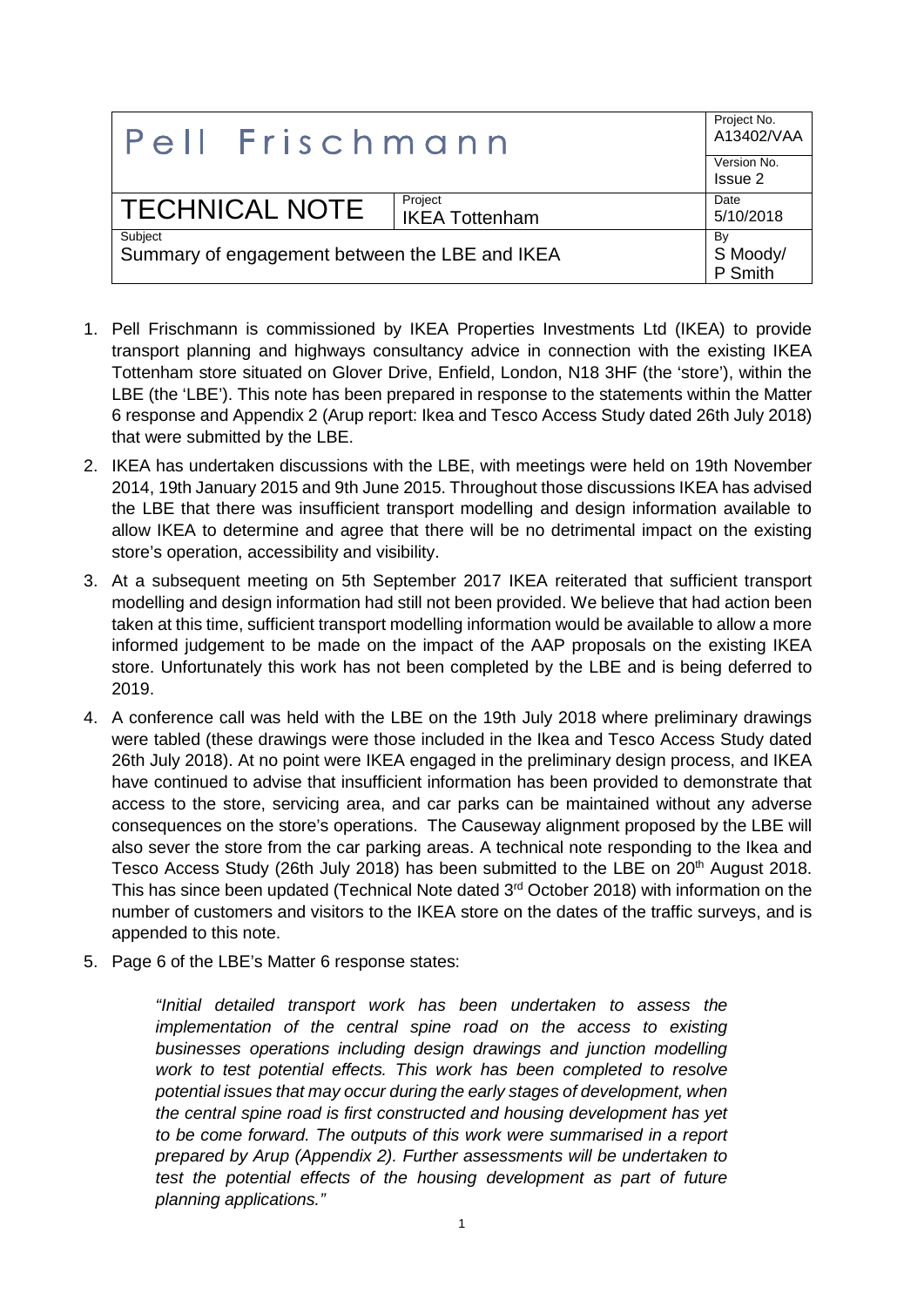| Pell Frischmann                                           |                       | Project No.<br>A13402/VAA |
|-----------------------------------------------------------|-----------------------|---------------------------|
|                                                           |                       | Version No.               |
|                                                           |                       | Issue 2                   |
| <b>TECHNICAL NOTE</b>                                     | Project               | Date                      |
|                                                           | <b>IKEA Tottenham</b> | 5/10/2018                 |
| Subject<br>Summary of engagement between the LBE and IKEA |                       | By                        |
|                                                           |                       |                           |
|                                                           |                       | S Moody/<br>P Smith       |

- 1. Pell Frischmann is commissioned by IKEA Properties Investments Ltd (IKEA) to provide transport planning and highways consultancy advice in connection with the existing IKEA Tottenham store situated on Glover Drive, Enfield, London, N18 3HF (the 'store'), within the LBE (the 'LBE'). This note has been prepared in response to the statements within the Matter 6 response and Appendix 2 (Arup report: Ikea and Tesco Access Study dated 26th July 2018) that were submitted by the LBE.
- 2. IKEA has undertaken discussions with the LBE, with meetings were held on 19th November 2014, 19th January 2015 and 9th June 2015. Throughout those discussions IKEA has advised the LBE that there was insufficient transport modelling and design information available to allow IKEA to determine and agree that there will be no detrimental impact on the existing store's operation, accessibility and visibility.
- 3. At a subsequent meeting on 5th September 2017 IKEA reiterated that sufficient transport modelling and design information had still not been provided. We believe that had action been taken at this time, sufficient transport modelling information would be available to allow a more informed judgement to be made on the impact of the AAP proposals on the existing IKEA store. Unfortunately this work has not been completed by the LBE and is being deferred to 2019.
- 4. A conference call was held with the LBE on the 19th July 2018 where preliminary drawings were tabled (these drawings were those included in the Ikea and Tesco Access Study dated 26th July 2018). At no point were IKEA engaged in the preliminary design process, and IKEA have continued to advise that insufficient information has been provided to demonstrate that access to the store, servicing area, and car parks can be maintained without any adverse consequences on the store's operations. The Causeway alignment proposed by the LBE will also sever the store from the car parking areas. A technical note responding to the Ikea and Tesco Access Study (26th July 2018) has been submitted to the LBE on 20<sup>th</sup> August 2018. This has since been updated (Technical Note dated 3<sup>rd</sup> October 2018) with information on the number of customers and visitors to the IKEA store on the dates of the traffic surveys, and is appended to this note.
- 5. Page 6 of the LBE's Matter 6 response states:

*"Initial detailed transport work has been undertaken to assess the implementation of the central spine road on the access to existing businesses operations including design drawings and junction modelling work to test potential effects. This work has been completed to resolve potential issues that may occur during the early stages of development, when the central spine road is first constructed and housing development has yet to be come forward. The outputs of this work were summarised in a report prepared by Arup (Appendix 2). Further assessments will be undertaken to test the potential effects of the housing development as part of future planning applications."*